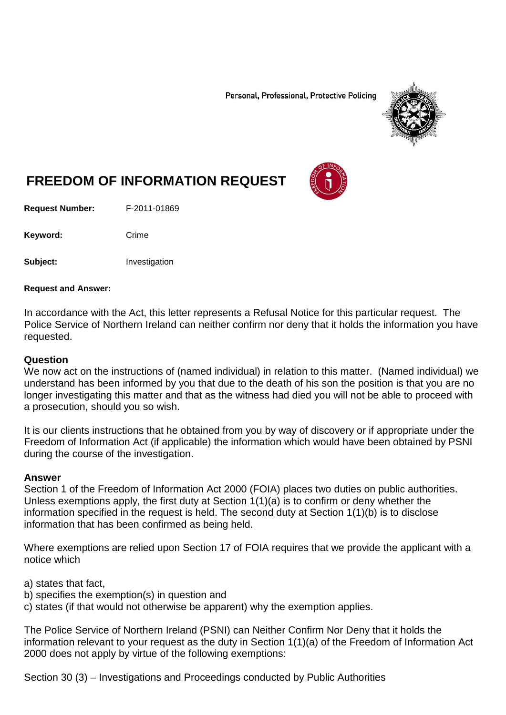Personal, Professional, Protective Policing



# **FREEDOM OF INFORMATION REQUEST**

**Request Number:** F-2011-01869

Keyword: Crime

**Subject:** Investigation

#### **Request and Answer:**

In accordance with the Act, this letter represents a Refusal Notice for this particular request. The Police Service of Northern Ireland can neither confirm nor deny that it holds the information you have requested.

#### **Question**

We now act on the instructions of (named individual) in relation to this matter. (Named individual) we understand has been informed by you that due to the death of his son the position is that you are no longer investigating this matter and that as the witness had died you will not be able to proceed with a prosecution, should you so wish.

It is our clients instructions that he obtained from you by way of discovery or if appropriate under the Freedom of Information Act (if applicable) the information which would have been obtained by PSNI during the course of the investigation.

#### **Answer**

Section 1 of the Freedom of Information Act 2000 (FOIA) places two duties on public authorities. Unless exemptions apply, the first duty at Section  $1(1)(a)$  is to confirm or deny whether the information specified in the request is held. The second duty at Section 1(1)(b) is to disclose information that has been confirmed as being held.

Where exemptions are relied upon Section 17 of FOIA requires that we provide the applicant with a notice which

- a) states that fact,
- b) specifies the exemption(s) in question and
- c) states (if that would not otherwise be apparent) why the exemption applies.

The Police Service of Northern Ireland (PSNI) can Neither Confirm Nor Deny that it holds the information relevant to your request as the duty in Section 1(1)(a) of the Freedom of Information Act 2000 does not apply by virtue of the following exemptions:

Section 30 (3) – Investigations and Proceedings conducted by Public Authorities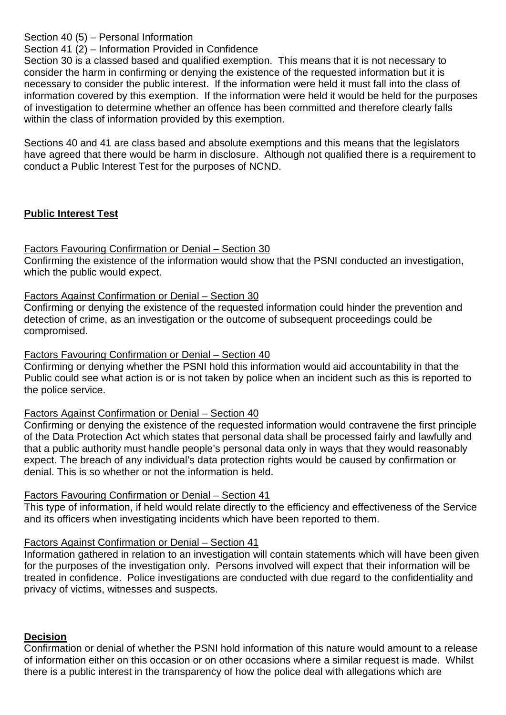Section 40 (5) – Personal Information

Section 41 (2) – Information Provided in Confidence

Section 30 is a classed based and qualified exemption. This means that it is not necessary to consider the harm in confirming or denying the existence of the requested information but it is necessary to consider the public interest. If the information were held it must fall into the class of information covered by this exemption. If the information were held it would be held for the purposes of investigation to determine whether an offence has been committed and therefore clearly falls within the class of information provided by this exemption.

Sections 40 and 41 are class based and absolute exemptions and this means that the legislators have agreed that there would be harm in disclosure. Although not qualified there is a requirement to conduct a Public Interest Test for the purposes of NCND.

# **Public Interest Test**

# Factors Favouring Confirmation or Denial – Section 30

Confirming the existence of the information would show that the PSNI conducted an investigation, which the public would expect.

# Factors Against Confirmation or Denial – Section 30

Confirming or denying the existence of the requested information could hinder the prevention and detection of crime, as an investigation or the outcome of subsequent proceedings could be compromised.

# Factors Favouring Confirmation or Denial – Section 40

Confirming or denying whether the PSNI hold this information would aid accountability in that the Public could see what action is or is not taken by police when an incident such as this is reported to the police service.

# Factors Against Confirmation or Denial – Section 40

Confirming or denying the existence of the requested information would contravene the first principle of the Data Protection Act which states that personal data shall be processed fairly and lawfully and that a public authority must handle people's personal data only in ways that they would reasonably expect. The breach of any individual's data protection rights would be caused by confirmation or denial. This is so whether or not the information is held.

# Factors Favouring Confirmation or Denial – Section 41

This type of information, if held would relate directly to the efficiency and effectiveness of the Service and its officers when investigating incidents which have been reported to them.

# Factors Against Confirmation or Denial – Section 41

Information gathered in relation to an investigation will contain statements which will have been given for the purposes of the investigation only. Persons involved will expect that their information will be treated in confidence. Police investigations are conducted with due regard to the confidentiality and privacy of victims, witnesses and suspects.

# **Decision**

Confirmation or denial of whether the PSNI hold information of this nature would amount to a release of information either on this occasion or on other occasions where a similar request is made. Whilst there is a public interest in the transparency of how the police deal with allegations which are